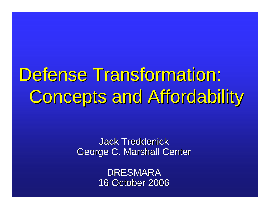Defense Transformation: Concepts and Affordability

> **Jack Treddenick** George C. Marshall Center

> > DRESMARA 16 October 2006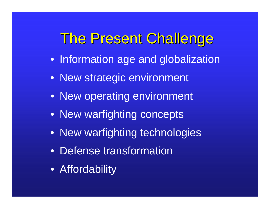# The Present Challenge

- Information age and globalization
- New strategic environment
- New operating environment
- New warfighting concepts
- New warfighting technologies
- Defense transformation
- Affordability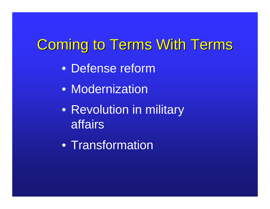# Coming to Terms With Terms

- Defense reform
- Modernization
- Revolution in military affairs
- Transformation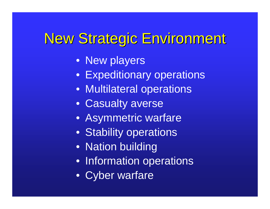# New Strategic Environment New Strategic Environment

- New players
- Expeditionary operations
- Multilateral operations
- Casualty averse
- Asymmetric warfare
- Stability operations
- Nation building
- Information operations
- Cyber warfare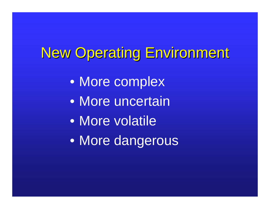# New Operating Environment

- More complex
- More uncertain
- More volatile
- More dangerous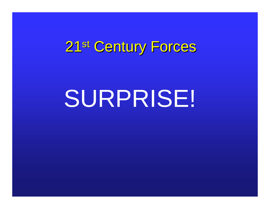# 21st Century Forces

# SURPRISE!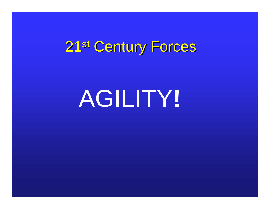# 21st Century Forces

# AGILITY**!**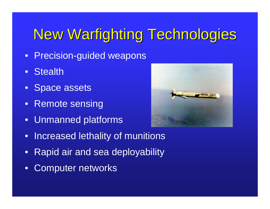# New Warfighting Technologies

- Precision-guided weapons
- **Stealth**
- Space assets
- Remote sensing
- Unmanned platforms



- Increased lethality of munitions
- Rapid air and sea deployability
- **Computer networks**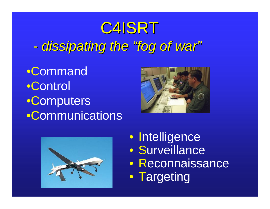# C4ISRT *-dissipating the dissipating the "fog of war fog of war"*

•Command •Control •Computers •Communications





• Intelligence • Surveillance • Reconnaissance • Targeting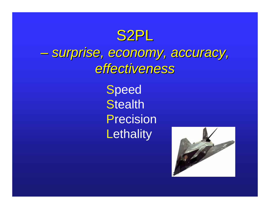

### *–surprise, economy, accuracy, surprise, economy, accuracy, effectiveness effectiveness*

**Speed Stealth** Precision**Lethality** 

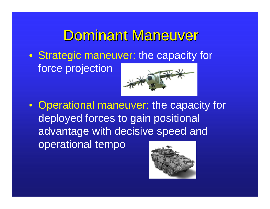# Dominant Maneuver

• Strategic maneuver: the capacity for force projection



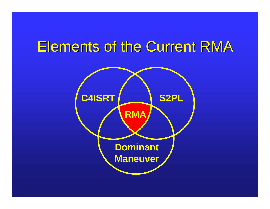# Elements of the Current RMA

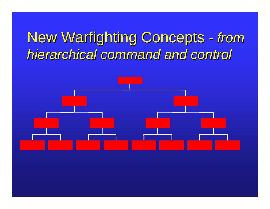# New Warfighting Concepts - from *hierarchical command and control hierarchical command and control*

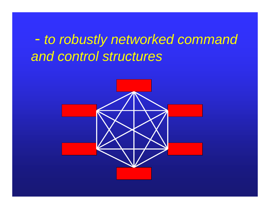- *to robustly networked command and control structures*

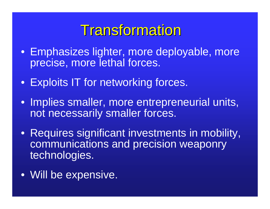# **Transformation**

- Emphasizes lighter, more deployable, more precise, more lethal forces.
- Exploits IT for networking forces.
- Implies smaller, more entrepreneurial units, not necessarily smaller forces.
- Requires significant investments in mobility, communications and precision weaponry technologies.
- Will be expensive.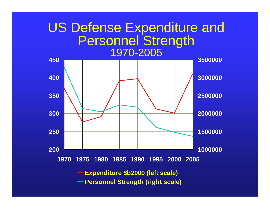#### US Defense Expenditure and Personnel Strength 1970-2005



**Expenditure \$b2000 (left scale)** 

**Personnel Strength (right scale)**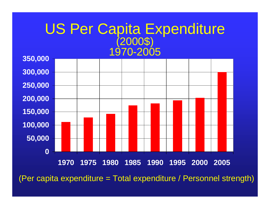# US Per Capita Expenditure<br>(2000\$) 1970-2005



(Per capita expenditure = Total expenditure / Personnel strength)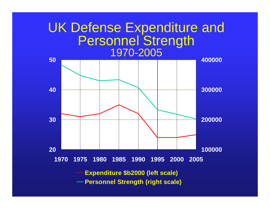#### UK Defense Expenditure and Personnel Strength 1970-2005

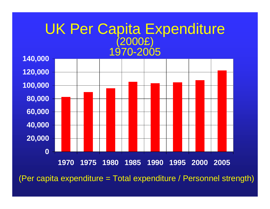#### UK Per Capita Expenditure (2000£) 1970-2005



(Per capita expenditure = Total expenditure / Personnel strength)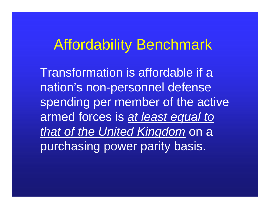## Affordability Benchmark

Transformation is affordable if a nation's non-personnel defense spending per member of the active armed forces is *at least equal to that of the United Kingdom* on a purchasing power parity basis.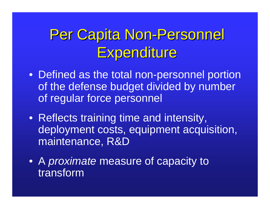# Per Capita Non-Personnel Expenditure

- Defined as the total non-personnel portion of the defense budget divided by number of regular force personnel
- Reflects training time and intensity, deployment costs, equipment acquisition, maintenance, R&D
- A *proximate* measure of capacity to transform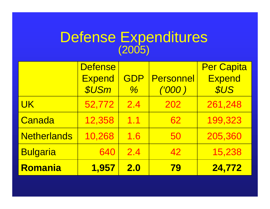#### Defense Expenditures (2005)

|                    | <b>Defense</b> |               |                  | <b>Per Capita</b> |
|--------------------|----------------|---------------|------------------|-------------------|
|                    | <b>Expend</b>  | GDP           | <b>Personnel</b> | <b>Expend</b>     |
|                    | <b>\$USm</b>   | $\frac{0}{6}$ | ('000)           | <b>SUS</b>        |
| <b>UK</b>          | 52,772         | 2.4           | 202              | 261,248           |
| Canada             | 12,358         | 1.1           | 62               | 199,323           |
| <b>Netherlands</b> | 10,268         | 1.6           | 50               | 205,360           |
| <b>Bulgaria</b>    | 640            | 2.4           | 42               | 15,238            |
| Romania            | 1,957          | 2.0           | <b>79</b>        | 24,772            |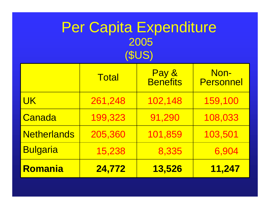### Per Capita Expenditure 2005 (\$US)

|                    | <b>Total</b> | Pay &<br><b>Benefits</b> | Non-<br><b>Personnel</b> |
|--------------------|--------------|--------------------------|--------------------------|
| <b>UK</b>          | 261,248      | 102,148                  | 159,100                  |
| Canada             | 199,323      | 91,290                   | 108,033                  |
| <b>Netherlands</b> | 205,360      | 101,859                  | 103,501                  |
| <b>Bulgaria</b>    | 15,238       | 8,335                    | 6,904                    |
| Romania            | 24,772       | 13,526                   | 11,247                   |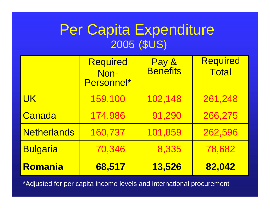### Per Capita Expenditure 2005 (\$US)

|                    | <b>Required</b><br>Non-<br>Personnel* | Pay &<br><b>Benefits</b> | <b>Required</b><br><b>Total</b> |
|--------------------|---------------------------------------|--------------------------|---------------------------------|
| <b>UK</b>          | 159,100                               | 102,148                  | 261,248                         |
| Canada             | 174,986                               | 91,290                   | 266,275                         |
| <b>Netherlands</b> | 160,737                               | 101,859                  | 262,596                         |
| <b>Bulgaria</b>    | 70,346                                | 8,335                    | 78,682                          |
| Romania            | 68,517                                | 13,526                   | 82,042                          |

\*Adjusted for per capita income levels and international procurement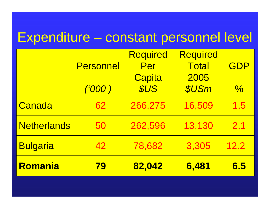### Expenditure – constant personnel level

|                    |                  | <b>Required</b> | <b>Required</b> |               |
|--------------------|------------------|-----------------|-----------------|---------------|
|                    | <b>Personnel</b> | Per             | <b>Total</b>    | GDP           |
|                    |                  | Capita          | 2005            |               |
|                    | ('000)           | <b>SUS</b>      | <b>\$USm</b>    | $\frac{0}{0}$ |
| Canada             | 62               | 266,275         | 16,509          | 1.5           |
| <b>Netherlands</b> | 50               | 262,596         | 13,130          | 2.1           |
| <b>Bulgaria</b>    | 42               | 78,682          | 3,305           | 12.2          |
| Romania            | <b>79</b>        | 82,042          | 6,481           | 6.5           |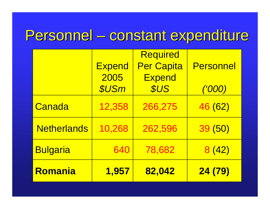### Personnel – constant expenditure

|                    |               | <b>Required</b>   |                  |
|--------------------|---------------|-------------------|------------------|
|                    | <b>Expend</b> | <b>Per Capita</b> | <b>Personnel</b> |
|                    | 2005          | <b>Expend</b>     |                  |
|                    | <b>\$USm</b>  | <b>SUS</b>        | <u>('000)</u>    |
| Canada             | 12,358        | 266,275           | 46 (62)          |
| <b>Netherlands</b> | 10,268        | 262,596           | 39 (50)          |
| <b>Bulgaria</b>    | 640           | 78,682            | 8(42)            |
| Romania            | 1,957         | 82,042            | 24 (79)          |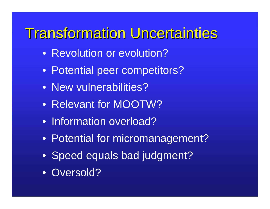# **Transformation Uncertainties**

- Revolution or evolution?
- Potential peer competitors?
- New vulnerabilities?
- Relevant for MOOTW?
- Information overload?
- Potential for micromanagement?
- Speed equals bad judgment?
- Oversold?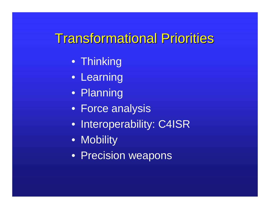### **Transformational Priorities**

- Thinking
- Learning
- Planning
- Force analysis
- **Interoperability: C4ISR**
- Mobility
- Precision weapons